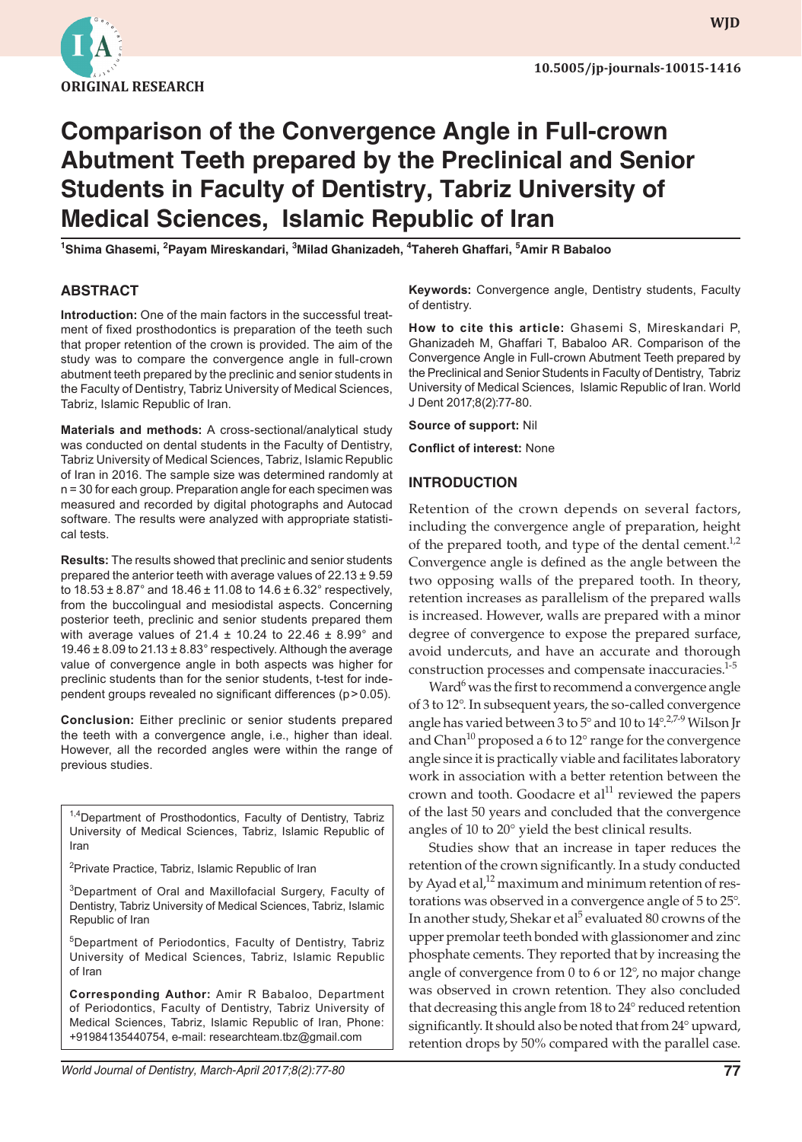

**wjd WJD**

# **Comparison of the Convergence Angle in Full-crown Abutment Teeth prepared by the Preclinical and Senior Students in Faculty of Dentistry, Tabriz University of Medical Sciences, Islamic Republic of Iran**

**1 Shima Ghasemi, 2 Payam Mireskandari, <sup>3</sup> Milad Ghanizadeh, 4 Tahereh Ghaffari, 5 Amir R Babaloo**

## **ABSTRACT**

**Introduction:** One of the main factors in the successful treatment of fixed prosthodontics is preparation of the teeth such that proper retention of the crown is provided. The aim of the study was to compare the convergence angle in full-crown abutment teeth prepared by the preclinic and senior students in the Faculty of Dentistry, Tabriz University of Medical Sciences, Tabriz, Islamic Republic of Iran.

**Materials and methods:** A cross-sectional/analytical study was conducted on dental students in the Faculty of Dentistry, Tabriz University of Medical Sciences, Tabriz, Islamic Republic of Iran in 2016. The sample size was determined randomly at n = 30 for each group. Preparation angle for each specimen was measured and recorded by digital photographs and Autocad software. The results were analyzed with appropriate statistical tests.

**Results:** The results showed that preclinic and senior students prepared the anterior teeth with average values of  $22.13 \pm 9.59$ to  $18.53 \pm 8.87$ ° and  $18.46 \pm 11.08$  to  $14.6 \pm 6.32$ ° respectively, from the buccolingual and mesiodistal aspects. Concerning posterior teeth, preclinic and senior students prepared them with average values of 21.4  $\pm$  10.24 to 22.46  $\pm$  8.99 $^{\circ}$  and 19.46  $\pm$  8.09 to 21.13  $\pm$  8.83 $^{\circ}$  respectively. Although the average value of convergence angle in both aspects was higher for preclinic students than for the senior students, t-test for independent groups revealed no significant differences (p>0.05).

**Conclusion:** Either preclinic or senior students prepared the teeth with a convergence angle, i.e., higher than ideal. However, all the recorded angles were within the range of previous studies.

<sup>1,4</sup>Department of Prosthodontics, Faculty of Dentistry, Tabriz University of Medical Sciences, Tabriz, Islamic Republic of Iran

<sup>2</sup>Private Practice, Tabriz, Islamic Republic of Iran

<sup>3</sup>Department of Oral and Maxillofacial Surgery, Faculty of Dentistry, Tabriz University of Medical Sciences, Tabriz, Islamic Republic of Iran

5Department of Periodontics, Faculty of Dentistry, Tabriz University of Medical Sciences, Tabriz, Islamic Republic of Iran

**Corresponding Author:** Amir R Babaloo, Department of Periodontics, Faculty of Dentistry, Tabriz University of Medical Sciences, Tabriz, Islamic Republic of Iran, Phone: +91984135440754, e-mail: researchteam.tbz@gmail.com

**Keywords:** Convergence angle, Dentistry students, Faculty of dentistry.

**How to cite this article:** Ghasemi S, Mireskandari P, Ghanizadeh M, Ghaffari T, Babaloo AR. Comparison of the Convergence Angle in Full-crown Abutment Teeth prepared by the Preclinical and Senior Students in Faculty of Dentistry, Tabriz University of Medical Sciences, Islamic Republic of Iran. World J Dent 2017;8(2):77-80.

**Source of support:** Nil

**Conflict of interest:** None

#### **INTRODUCTION**

Retention of the crown depends on several factors, including the convergence angle of preparation, height of the prepared tooth, and type of the dental cement. $1,2$ Convergence angle is defined as the angle between the two opposing walls of the prepared tooth. In theory, retention increases as parallelism of the prepared walls is increased. However, walls are prepared with a minor degree of convergence to expose the prepared surface, avoid undercuts, and have an accurate and thorough construction processes and compensate inaccuracies.<sup>1-5</sup>

Ward<sup>6</sup> was the first to recommend a convergence angle of 3 to 12°. In subsequent years, the so-called convergence angle has varied between 3 to 5° and 10 to 14°.2,7-9 Wilson Jr and Chan<sup>10</sup> proposed a 6 to 12 $\degree$  range for the convergence angle since it is practically viable and facilitates laboratory work in association with a better retention between the crown and tooth. Goodacre et  $al<sup>11</sup>$  reviewed the papers of the last 50 years and concluded that the convergence angles of 10 to 20° yield the best clinical results.

Studies show that an increase in taper reduces the retention of the crown significantly. In a study conducted by Ayad et al, $12$  maximum and minimum retention of restorations was observed in a convergence angle of 5 to 25°. In another study, Shekar et al<sup>5</sup> evaluated 80 crowns of the upper premolar teeth bonded with glassionomer and zinc phosphate cements. They reported that by increasing the angle of convergence from 0 to 6 or 12°, no major change was observed in crown retention. They also concluded that decreasing this angle from 18 to 24° reduced retention significantly. It should also be noted that from 24° upward, retention drops by 50% compared with the parallel case.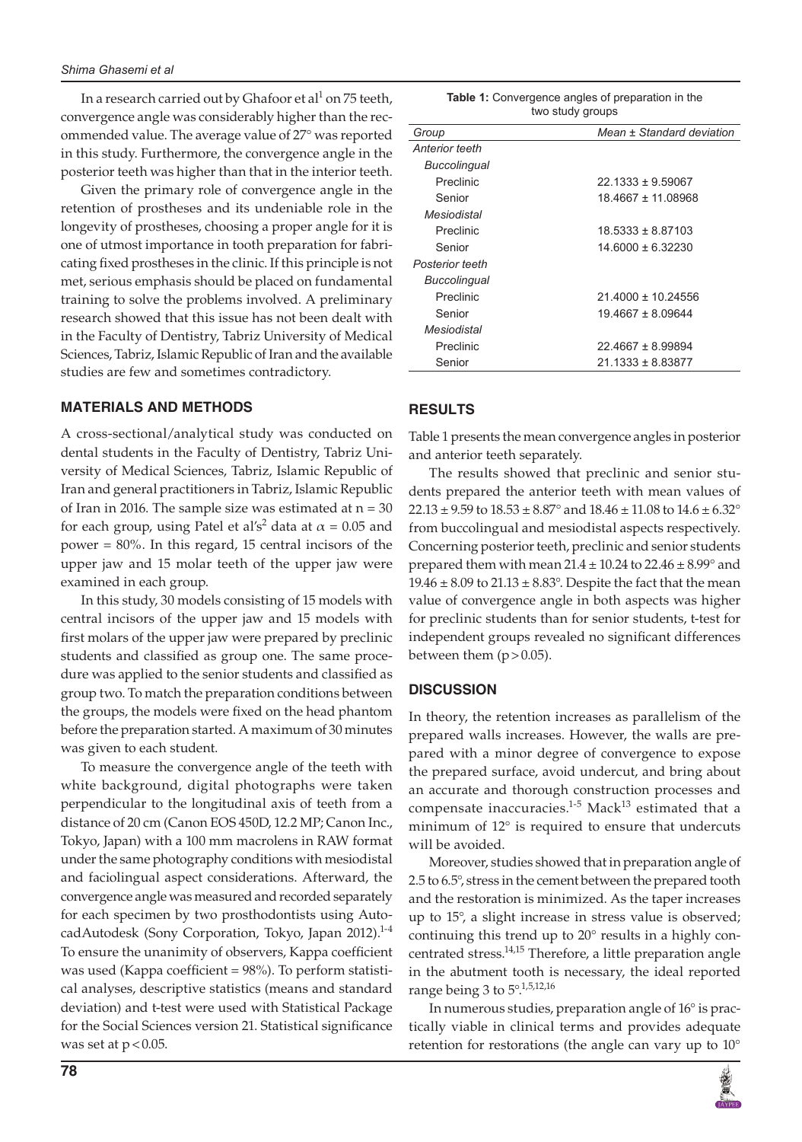In a research carried out by Ghafoor et al<sup>1</sup> on 75 teeth, convergence angle was considerably higher than the recommended value. The average value of 27° was reported in this study. Furthermore, the convergence angle in the posterior teeth was higher than that in the interior teeth.

Given the primary role of convergence angle in the retention of prostheses and its undeniable role in the longevity of prostheses, choosing a proper angle for it is one of utmost importance in tooth preparation for fabricating fixed prostheses in the clinic. If this principle is not met, serious emphasis should be placed on fundamental training to solve the problems involved. A preliminary research showed that this issue has not been dealt with in the Faculty of Dentistry, Tabriz University of Medical Sciences, Tabriz, Islamic Republic of Iran and the available studies are few and sometimes contradictory.

#### **MATERIALS AND METHODS**

A cross-sectional/analytical study was conducted on dental students in the Faculty of Dentistry, Tabriz University of Medical Sciences, Tabriz, Islamic Republic of Iran and general practitioners in Tabriz, Islamic Republic of Iran in 2016. The sample size was estimated at  $n = 30$ for each group, using Patel et al's<sup>2</sup> data at  $\alpha = 0.05$  and power = 80%. In this regard, 15 central incisors of the upper jaw and 15 molar teeth of the upper jaw were examined in each group.

In this study, 30 models consisting of 15 models with central incisors of the upper jaw and 15 models with first molars of the upper jaw were prepared by preclinic students and classified as group one. The same procedure was applied to the senior students and classified as group two. To match the preparation conditions between the groups, the models were fixed on the head phantom before the preparation started. A maximum of 30 minutes was given to each student.

To measure the convergence angle of the teeth with white background, digital photographs were taken perpendicular to the longitudinal axis of teeth from a distance of 20 cm (Canon EOS 450D, 12.2 MP; Canon Inc., Tokyo, Japan) with a 100 mm macrolens in RAW format under the same photography conditions with mesiodistal and faciolingual aspect considerations. Afterward, the convergence angle was measured and recorded separately for each specimen by two prosthodontists using AutocadAutodesk (Sony Corporation, Tokyo, Japan 2012).<sup>1-4</sup> To ensure the unanimity of observers, Kappa coefficient was used (Kappa coefficient = 98%). To perform statistical analyses, descriptive statistics (means and standard deviation) and t-test were used with Statistical Package for the Social Sciences version 21. Statistical significance was set at  $p < 0.05$ .

| <b>Table 1:</b> Convergence angles of preparation in the |  |
|----------------------------------------------------------|--|
| two study groups                                         |  |

| Group               | Mean ± Standard deviation |
|---------------------|---------------------------|
| Anterior teeth      |                           |
| <b>Buccolingual</b> |                           |
| Preclinic           | $22.1333 \pm 9.59067$     |
| Senior              | 18 4667 + 11 08968        |
| Mesiodistal         |                           |
| <b>Preclinic</b>    | 18.5333 + 8.87103         |
| Senior              | 14.6000 + 6.32230         |
| Posterior teeth     |                           |
| <b>Buccolingual</b> |                           |
| Preclinic           | $21.4000 \pm 10.24556$    |
| Senior              | $19.4667 \pm 8.09644$     |
| Mesiodistal         |                           |
| Preclinic           | $22.4667 \pm 8.99894$     |
| Senior              | $21.1333 \pm 8.83877$     |

#### **RESULTS**

Table 1 presents the mean convergence angles in posterior and anterior teeth separately.

The results showed that preclinic and senior students prepared the anterior teeth with mean values of 22.13  $\pm$  9.59 to 18.53  $\pm$  8.87 $^{\circ}$  and 18.46  $\pm$  11.08 to 14.6  $\pm$  6.32 $^{\circ}$ from buccolingual and mesiodistal aspects respectively. Concerning posterior teeth, preclinic and senior students prepared them with mean  $21.4 \pm 10.24$  to  $22.46 \pm 8.99^{\circ}$  and 19.46  $\pm$  8.09 to 21.13  $\pm$  8.83°. Despite the fact that the mean value of convergence angle in both aspects was higher for preclinic students than for senior students, t-test for independent groups revealed no significant differences between them  $(p>0.05)$ .

#### **DISCUSSION**

In theory, the retention increases as parallelism of the prepared walls increases. However, the walls are prepared with a minor degree of convergence to expose the prepared surface, avoid undercut, and bring about an accurate and thorough construction processes and compensate inaccuracies. $1-5$  Mack<sup>13</sup> estimated that a minimum of 12° is required to ensure that undercuts will be avoided.

Moreover, studies showed that in preparation angle of 2.5 to 6.5°, stress in the cement between the prepared tooth and the restoration is minimized. As the taper increases up to 15°, a slight increase in stress value is observed; continuing this trend up to 20° results in a highly concentrated stress.<sup>14,15</sup> Therefore, a little preparation angle in the abutment tooth is necessary, the ideal reported range being 3 to 5°.<sup>1,5,12,16</sup>

In numerous studies, preparation angle of 16° is practically viable in clinical terms and provides adequate retention for restorations (the angle can vary up to 10°

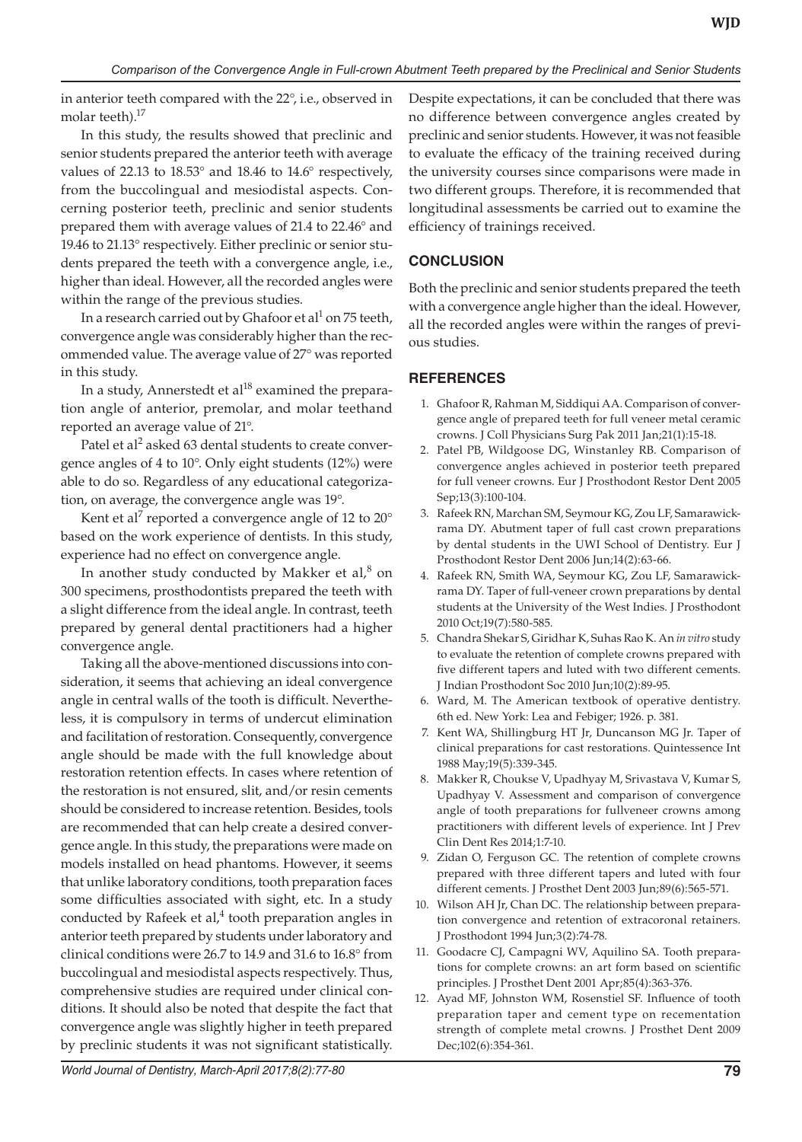in anterior teeth compared with the 22°, i.e., observed in molar teeth).<sup>17</sup>

In this study, the results showed that preclinic and senior students prepared the anterior teeth with average values of 22.13 to 18.53° and 18.46 to 14.6° respectively, from the buccolingual and mesiodistal aspects. Concerning posterior teeth, preclinic and senior students prepared them with average values of 21.4 to 22.46° and 19.46 to 21.13° respectively. Either preclinic or senior students prepared the teeth with a convergence angle, i.e., higher than ideal. However, all the recorded angles were within the range of the previous studies.

In a research carried out by Ghafoor et al<sup>1</sup> on 75 teeth, convergence angle was considerably higher than the recommended value. The average value of 27° was reported in this study.

In a study, Annerstedt et  $al^{18}$  examined the preparation angle of anterior, premolar, and molar teethand reported an average value of 21°.

Patel et al<sup>2</sup> asked 63 dental students to create convergence angles of 4 to 10°. Only eight students (12%) were able to do so. Regardless of any educational categorization, on average, the convergence angle was 19°.

Kent et al<sup>7</sup> reported a convergence angle of 12 to 20 $^{\circ}$ based on the work experience of dentists. In this study, experience had no effect on convergence angle.

In another study conducted by Makker et al, $8$  on 300 specimens, prosthodontists prepared the teeth with a slight difference from the ideal angle. In contrast, teeth prepared by general dental practitioners had a higher convergence angle.

Taking all the above-mentioned discussions into consideration, it seems that achieving an ideal convergence angle in central walls of the tooth is difficult. Nevertheless, it is compulsory in terms of undercut elimination and facilitation of restoration. Consequently, convergence angle should be made with the full knowledge about restoration retention effects. In cases where retention of the restoration is not ensured, slit, and/or resin cements should be considered to increase retention. Besides, tools are recommended that can help create a desired convergence angle. In this study, the preparations were made on models installed on head phantoms. However, it seems that unlike laboratory conditions, tooth preparation faces some difficulties associated with sight, etc. In a study conducted by Rafeek et al, $4$  tooth preparation angles in anterior teeth prepared by students under laboratory and clinical conditions were 26.7 to 14.9 and 31.6 to 16.8° from buccolingual and mesiodistal aspects respectively. Thus, comprehensive studies are required under clinical conditions. It should also be noted that despite the fact that convergence angle was slightly higher in teeth prepared by preclinic students it was not significant statistically.

Despite expectations, it can be concluded that there was no difference between convergence angles created by preclinic and senior students. However, it was not feasible to evaluate the efficacy of the training received during the university courses since comparisons were made in two different groups. Therefore, it is recommended that longitudinal assessments be carried out to examine the efficiency of trainings received.

# **CONCLUSION**

Both the preclinic and senior students prepared the teeth with a convergence angle higher than the ideal. However, all the recorded angles were within the ranges of previous studies.

## **REFERENCES**

- 1. Ghafoor R, Rahman M, Siddiqui AA. Comparison of convergence angle of prepared teeth for full veneer metal ceramic crowns. J Coll Physicians Surg Pak 2011 Jan;21(1):15-18.
- 2. Patel PB, Wildgoose DG, Winstanley RB. Comparison of convergence angles achieved in posterior teeth prepared for full veneer crowns. Eur J Prosthodont Restor Dent 2005 Sep;13(3):100-104.
- 3. Rafeek RN, Marchan SM, Seymour KG, Zou LF, Samarawickrama DY. Abutment taper of full cast crown preparations by dental students in the UWI School of Dentistry. Eur J Prosthodont Restor Dent 2006 Jun;14(2):63-66.
- 4. Rafeek RN, Smith WA, Seymour KG, Zou LF, Samarawickrama DY. Taper of full-veneer crown preparations by dental students at the University of the West Indies. J Prosthodont 2010 Oct;19(7):580-585.
- 5. Chandra Shekar S, Giridhar K, Suhas Rao K. An *in vitro* study to evaluate the retention of complete crowns prepared with five different tapers and luted with two different cements. J Indian Prosthodont Soc 2010 Jun;10(2):89-95.
- 6. Ward, M. The American textbook of operative dentistry. 6th ed. New York: Lea and Febiger; 1926. p. 381.
- 7. Kent WA, Shillingburg HT Jr, Duncanson MG Jr. Taper of clinical preparations for cast restorations. Quintessence Int 1988 May;19(5):339-345.
- 8. Makker R, Choukse V, Upadhyay M, Srivastava V, Kumar S, Upadhyay V. Assessment and comparison of convergence angle of tooth preparations for fullveneer crowns among practitioners with different levels of experience. Int J Prev Clin Dent Res 2014;1:7-10.
- 9. Zidan O, Ferguson GC. The retention of complete crowns prepared with three different tapers and luted with four different cements. J Prosthet Dent 2003 Jun;89(6):565-571.
- 10. Wilson AH Jr, Chan DC. The relationship between preparation convergence and retention of extracoronal retainers. J Prosthodont 1994 Jun;3(2):74-78.
- 11. Goodacre CJ, Campagni WV, Aquilino SA. Tooth preparations for complete crowns: an art form based on scientific principles. J Prosthet Dent 2001 Apr;85(4):363-376.
- 12. Ayad MF, Johnston WM, Rosenstiel SF. Influence of tooth preparation taper and cement type on recementation strength of complete metal crowns. J Prosthet Dent 2009 Dec;102(6):354-361.